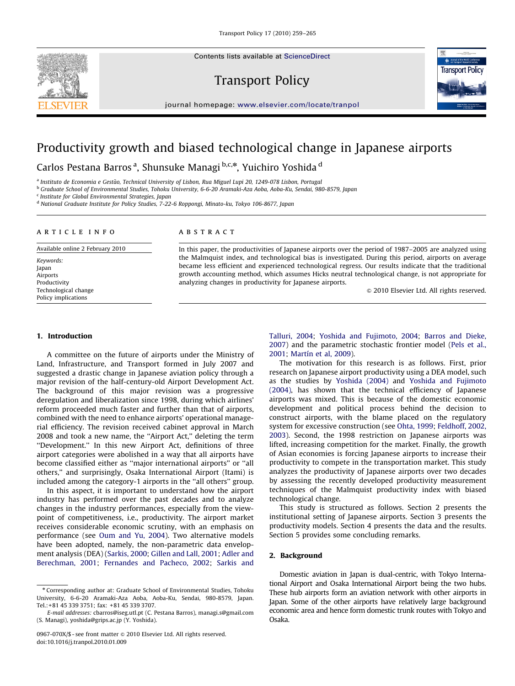Contents lists available at ScienceDirect







journal homepage: <www.elsevier.com/locate/tranpol>

# Productivity growth and biased technological change in Japanese airports

Carlos Pestana Barros <sup>a</sup>, Shunsuke Managi <sup>b,c,</sup>\*, Yuichiro Yoshida <sup>d</sup>

<sup>a</sup> Instituto de Economia e Gestao, Technical University of Lisbon, Rua Miguel Lupi 20, 1249-078 Lisbon, Portugal ~

<sup>b</sup> Graduate School of Environmental Studies, Tohoku University, 6-6-20 Aramaki-Aza Aoba, Aoba-Ku, Sendai, 980-8579, Japan

<sup>c</sup> Institute for Global Environmental Strategies, Japan

<sup>d</sup> National Graduate Institute for Policy Studies, 7-22-6 Roppongi, Minato-ku, Tokyo 106-8677, Japan

#### article info

Available online 2 February 2010

Keywords: Japan Airports Productivity Technological change Policy implications

## **ABSTRACT**

In this paper, the productivities of Japanese airports over the period of 1987–2005 are analyzed using the Malmquist index, and technological bias is investigated. During this period, airports on average became less efficient and experienced technological regress. Our results indicate that the traditional growth accounting method, which assumes Hicks neutral technological change, is not appropriate for analyzing changes in productivity for Japanese airports.

 $\odot$  2010 Elsevier Ltd. All rights reserved.

## 1. Introduction

A committee on the future of airports under the Ministry of Land, Infrastructure, and Transport formed in July 2007 and suggested a drastic change in Japanese aviation policy through a major revision of the half-century-old Airport Development Act. The background of this major revision was a progressive deregulation and liberalization since 1998, during which airlines' reform proceeded much faster and further than that of airports, combined with the need to enhance airports' operational managerial efficiency. The revision received cabinet approval in March 2008 and took a new name, the ''Airport Act,'' deleting the term ''Development.'' In this new Airport Act, definitions of three airport categories were abolished in a way that all airports have become classified either as ''major international airports'' or ''all others,'' and surprisingly, Osaka International Airport (Itami) is included among the category-1 airports in the ''all others'' group.

In this aspect, it is important to understand how the airport industry has performed over the past decades and to analyze changes in the industry performances, especially from the viewpoint of competitiveness, i.e., productivity. The airport market receives considerable economic scrutiny, with an emphasis on performance (see [Oum and Yu, 2004\)](#page--1-0). Two alternative models have been adopted, namely, the non-parametric data envelopment analysis (DEA) [\(Sarkis, 2000;](#page--1-0) [Gillen and Lall, 2001](#page--1-0); [Adler and](#page--1-0) [Berechman, 2001](#page--1-0); [Fernandes and Pacheco, 2002;](#page--1-0) [Sarkis and](#page--1-0)

[Talluri, 2004](#page--1-0); [Yoshida and Fujimoto, 2004](#page--1-0); [Barros and Dieke,](#page--1-0) [2007\)](#page--1-0) and the parametric stochastic frontier model ([Pels et al.,](#page--1-0) [2001;](#page--1-0) Martín et al, 2009).

The motivation for this research is as follows. First, prior research on Japanese airport productivity using a DEA model, such as the studies by [Yoshida \(2004\)](#page--1-0) and [Yoshida and Fujimoto](#page--1-0) [\(2004\),](#page--1-0) has shown that the technical efficiency of Japanese airports was mixed. This is because of the domestic economic development and political process behind the decision to construct airports, with the blame placed on the regulatory system for excessive construction (see [Ohta, 1999](#page--1-0); [Feldhoff, 2002,](#page--1-0) [2003\)](#page--1-0). Second, the 1998 restriction on Japanese airports was lifted, increasing competition for the market. Finally, the growth of Asian economies is forcing Japanese airports to increase their productivity to compete in the transportation market. This study analyzes the productivity of Japanese airports over two decades by assessing the recently developed productivity measurement techniques of the Malmquist productivity index with biased technological change.

This study is structured as follows. Section 2 presents the institutional setting of Japanese airports. Section 3 presents the productivity models. Section 4 presents the data and the results. Section 5 provides some concluding remarks.

#### 2. Background

Domestic aviation in Japan is dual-centric, with Tokyo International Airport and Osaka International Airport being the two hubs. These hub airports form an aviation network with other airports in Japan. Some of the other airports have relatively large background economic area and hence form domestic trunk routes with Tokyo and Osaka.

Corresponding author at: Graduate School of Environmental Studies, Tohoku University, 6-6-20 Aramaki-Aza Aoba, Aoba-Ku, Sendai, 980-8579, Japan. Tel.:+81 45 339 3751; fax: +81 45 339 3707.

E-mail addresses: [cbarros@iseg.utl.pt \(C. Pestana Barros\),](mailto:cbarros@iseg.utl.pt) [managi.s@gmail.com](mailto:managi.s@gmail.com) [\(S. Managi\)](mailto:managi.s@gmail.com), [yoshida@grips.ac.jp \(Y. Yoshida\)](mailto:yoshida@grips.ac.jp).

<sup>0967-070</sup>X/\$ - see front matter @ 2010 Elsevier Ltd. All rights reserved. doi:[10.1016/j.tranpol.2010.01.009](dx.doi.org/10.1016/j.tranpol.2010.01.009)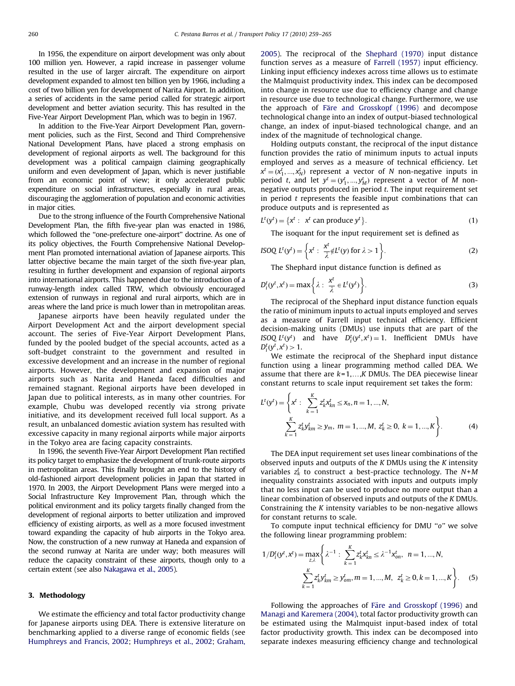In 1956, the expenditure on airport development was only about 100 million yen. However, a rapid increase in passenger volume resulted in the use of larger aircraft. The expenditure on airport development expanded to almost ten billion yen by 1966, including a cost of two billion yen for development of Narita Airport. In addition, a series of accidents in the same period called for strategic airport development and better aviation security. This has resulted in the Five-Year Airport Development Plan, which was to begin in 1967.

In addition to the Five-Year Airport Development Plan, government policies, such as the First, Second and Third Comprehensive National Development Plans, have placed a strong emphasis on development of regional airports as well. The background for this development was a political campaign claiming geographically uniform and even development of Japan, which is never justifiable from an economic point of view; it only accelerated public expenditure on social infrastructures, especially in rural areas, discouraging the agglomeration of population and economic activities in major cities.

Due to the strong influence of the Fourth Comprehensive National Development Plan, the fifth five-year plan was enacted in 1986, which followed the ''one-prefecture one-airport'' doctrine. As one of its policy objectives, the Fourth Comprehensive National Development Plan promoted international aviation of Japanese airports. This latter objective became the main target of the sixth five-year plan, resulting in further development and expansion of regional airports into international airports. This happened due to the introduction of a runway-length index called TRW, which obviously encouraged extension of runways in regional and rural airports, which are in areas where the land price is much lower than in metropolitan areas.

Japanese airports have been heavily regulated under the Airport Development Act and the airport development special account. The series of Five-Year Airport Development Plans, funded by the pooled budget of the special accounts, acted as a soft-budget constraint to the government and resulted in excessive development and an increase in the number of regional airports. However, the development and expansion of major airports such as Narita and Haneda faced difficulties and remained stagnant. Regional airports have been developed in Japan due to political interests, as in many other countries. For example, Chubu was developed recently via strong private initiative, and its development received full local support. As a result, an unbalanced domestic aviation system has resulted with excessive capacity in many regional airports while major airports in the Tokyo area are facing capacity constraints.

In 1996, the seventh Five-Year Airport Development Plan rectified its policy target to emphasize the development of trunk-route airports in metropolitan areas. This finally brought an end to the history of old-fashioned airport development policies in Japan that started in 1970. In 2003, the Airport Development Plans were merged into a Social Infrastructure Key Improvement Plan, through which the political environment and its policy targets finally changed from the development of regional airports to better utilization and improved efficiency of existing airports, as well as a more focused investment toward expanding the capacity of hub airports in the Tokyo area. Now, the construction of a new runway at Haneda and expansion of the second runway at Narita are under way; both measures will reduce the capacity constraint of these airports, though only to a certain extent (see also [Nakagawa et al., 2005\)](#page--1-0).

#### 3. Methodology

We estimate the efficiency and total factor productivity change for Japanese airports using DEA. There is extensive literature on benchmarking applied to a diverse range of economic fields (see [Humphreys and Francis, 2002;](#page--1-0) [Humphreys et al., 2002](#page--1-0); [Graham,](#page--1-0) [2005\)](#page--1-0). The reciprocal of the [Shephard \(1970\)](#page--1-0) input distance function serves as a measure of [Farrell \(1957\)](#page--1-0) input efficiency. Linking input efficiency indexes across time allows us to estimate the Malmquist productivity index. This index can be decomposed into change in resource use due to efficiency change and change in resource use due to technological change. Furthermore, we use the approach of Färe and Grosskopf (1996) and decompose technological change into an index of output-biased technological change, an index of input-biased technological change, and an index of the magnitude of technological change.

Holding outputs constant, the reciprocal of the input distance function provides the ratio of minimum inputs to actual inputs employed and serves as a measure of technical efficiency. Let  $x^t = (x_1^t, ..., x_N^t)$  represent a vector of N non-negative inputs in period t, and let  $y^t = (y_1^t, ..., y_M^t)$  represent a vector of M nonnegative outputs produced in period t. The input requirement set in period  $t$  represents the feasible input combinations that can produce outputs and is represented as

$$
L^{t}(y^{t}) = \{x^{t}: x^{t} \text{ can produce } y^{t}\}. \tag{1}
$$

The isoquant for the input requirement set is defined as

$$
ISOQ L^{t}(y^{t}) = \left\{ x^{t} : \frac{x^{t}}{\lambda} \notin L^{t}(y) \text{ for } \lambda > 1 \right\}.
$$
 (2)

The Shephard input distance function is defined as

$$
D_i^t(y^t, x^t) = \max\left\{\lambda : \frac{x^t}{\lambda} \in L^t(y^t)\right\}.
$$
 (3)

The reciprocal of the Shephard input distance function equals the ratio of minimum inputs to actual inputs employed and serves as a measure of Farrell input technical efficiency. Efficient decision-making units (DMUs) use inputs that are part of the ISOQ  $L^t(y^t)$  and have  $D_i^t(y^t, x^t) = 1$ . Inefficient DMUs have  $D_i^t(y^t, x^t) > 1.$ 

We estimate the reciprocal of the Shephard input distance function using a linear programming method called DEA. We assume that there are  $k=1,...,K$  DMUs. The DEA piecewise linear constant returns to scale input requirement set takes the form:

$$
L^{t}(y^{t}) = \left\{ x^{t} : \sum_{k=1}^{K} z_{k}^{t} x_{kn}^{t} \leq x_{n}, n = 1, ..., N, \sum_{k=1}^{K} z_{k}^{t} y_{km}^{t} \geq y_{m}, m = 1, ..., M, z_{k}^{t} \geq 0, k = 1, ..., K \right\}.
$$
 (4)

The DEA input requirement set uses linear combinations of the observed inputs and outputs of the  $K$  DMUs using the  $K$  intensity variables  $z_k^t$  to construct a best-practice technology. The  $N+M$ inequality constraints associated with inputs and outputs imply that no less input can be used to produce no more output than a linear combination of observed inputs and outputs of the K DMUs. Constraining the K intensity variables to be non-negative allows for constant returns to scale.

To compute input technical efficiency for DMU ''o'' we solve the following linear programming problem:

$$
1/D_i^t(y^t, x^t) = \max_{z, \lambda} \left\{ \lambda^{-1} : \sum_{k=1}^K z_k^t x_{kn}^t \le \lambda^{-1} x_{on}^t, \ n = 1, ..., N, \sum_{k=1}^K z_k^t y_{km}^t \ge y_{om}^t, m = 1, ..., M, \ z_k^t \ge 0, k = 1, ..., K \right\}.
$$
 (5)

Following the approaches of Färe and Grosskopf (1996) and [Managi and Karemera \(2004\),](#page--1-0) total factor productivity growth can be estimated using the Malmquist input-based index of total factor productivity growth. This index can be decomposed into separate indexes measuring efficiency change and technological